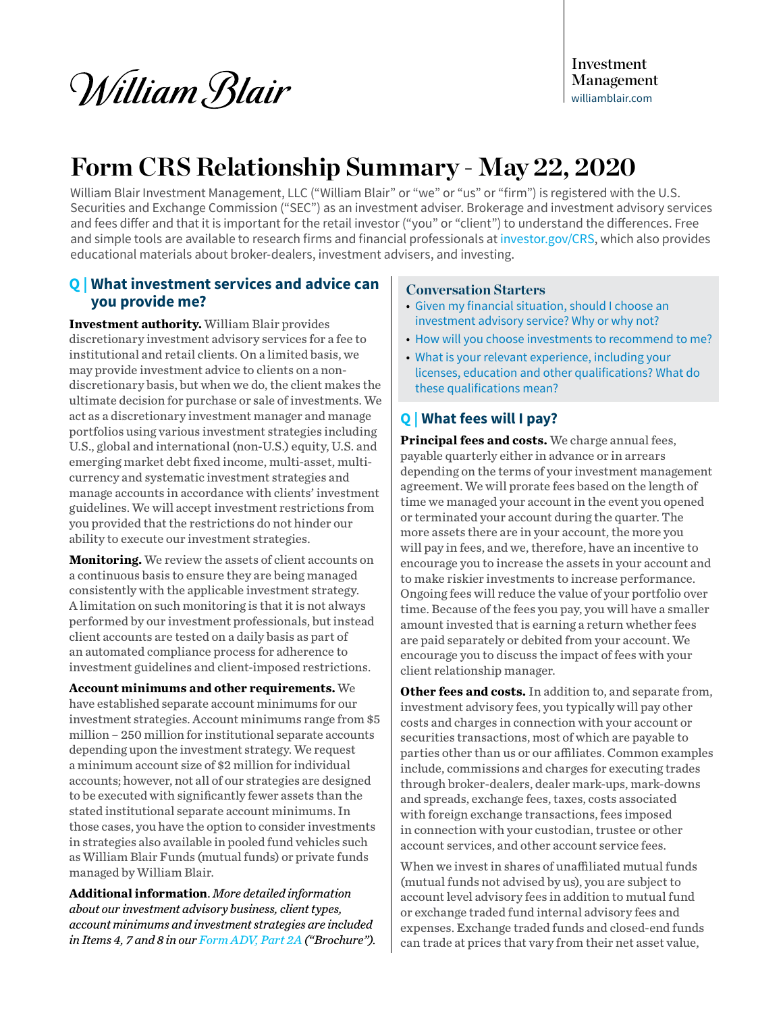*William Blair* 

Investment Management [williamblair.com](http://www.williamblair.com)

# **Form CRS Relationship Summary - May 22, 2020**

William Blair Investment Management, LLC ("William Blair" or "we" or "us" or "firm") is registered with the U.S. Securities and Exchange Commission ("SEC") as an investment adviser. Brokerage and investment advisory services and fees differ and that it is important for the retail investor ("you" or "client") to understand the differences. Free and simple tools are available to research firms and financial professionals at [investor.gov/CRS](http://investor.gov/CRS), which also provides educational materials about broker-dealers, investment advisers, and investing.

# **Q | What investment services and advice can you provide me?**

**Investment authority.** William Blair provides discretionary investment advisory services for a fee to institutional and retail clients. On a limited basis, we may provide investment advice to clients on a nondiscretionary basis, but when we do, the client makes the ultimate decision for purchase or sale of investments. We act as a discretionary investment manager and manage portfolios using various investment strategies including U.S., global and international (non-U.S.) equity, U.S. and emerging market debt fixed income, multi-asset, multicurrency and systematic investment strategies and manage accounts in accordance with clients' investment guidelines. We will accept investment restrictions from you provided that the restrictions do not hinder our ability to execute our investment strategies.

**Monitoring.** We review the assets of client accounts on a continuous basis to ensure they are being managed consistently with the applicable investment strategy. A limitation on such monitoring is that it is not always performed by our investment professionals, but instead client accounts are tested on a daily basis as part of an automated compliance process for adherence to investment guidelines and client-imposed restrictions.

**Account minimums and other requirements.** We have established separate account minimums for our investment strategies. Account minimums range from \$5 million – 250 million for institutional separate accounts depending upon the investment strategy. We request a minimum account size of \$2 million for individual accounts; however, not all of our strategies are designed to be executed with significantly fewer assets than the stated institutional separate account minimums. In those cases, you have the option to consider investments in strategies also available in pooled fund vehicles such as William Blair Funds (mutual funds) or private funds managed by William Blair.

**Additional information**. *More detailed information about our investment advisory business, client types, account minimums and investment strategies are included in Items 4, 7 and 8 in our [Form ADV, Part 2A](https://adviserinfo.sec.gov/firm/summary/173961) ("Brochure").* 

## **Conversation Starters**

- Given my financial situation, should I choose an investment advisory service? Why or why not?
- How will you choose investments to recommend to me?
- What is your relevant experience, including your licenses, education and other qualifications? What do these qualifications mean?

## **Q | What fees will I pay?**

**Principal fees and costs.** We charge annual fees, payable quarterly either in advance or in arrears depending on the terms of your investment management agreement. We will prorate fees based on the length of time we managed your account in the event you opened or terminated your account during the quarter. The more assets there are in your account, the more you will pay in fees, and we, therefore, have an incentive to encourage you to increase the assets in your account and to make riskier investments to increase performance. Ongoing fees will reduce the value of your portfolio over time. Because of the fees you pay, you will have a smaller amount invested that is earning a return whether fees are paid separately or debited from your account. We encourage you to discuss the impact of fees with your client relationship manager.

**Other fees and costs.** In addition to, and separate from, investment advisory fees, you typically will pay other costs and charges in connection with your account or securities transactions, most of which are payable to parties other than us or our affiliates. Common examples include, commissions and charges for executing trades through broker-dealers, dealer mark-ups, mark-downs and spreads, exchange fees, taxes, costs associated with foreign exchange transactions, fees imposed in connection with your custodian, trustee or other account services, and other account service fees.

When we invest in shares of unaffiliated mutual funds (mutual funds not advised by us), you are subject to account level advisory fees in addition to mutual fund or exchange traded fund internal advisory fees and expenses. Exchange traded funds and closed-end funds can trade at prices that vary from their net asset value,